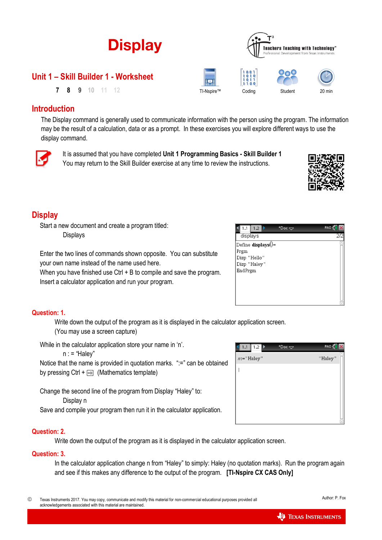"Haley"

# **Question: 1.**

Write down the output of the program as it is displayed in the calculator application screen. (You may use a screen capture)

While in the calculator application store your name in 'n'.

 $n := "Haley"$ 

Notice that the name is provided in quotation marks. ":=" can be obtained by pressing Ctrl +  $\frac{1}{\sqrt{16}}$  (Mathematics template)

Change the second line of the program from Display "Haley" to:

Display n

acknowledgements associated with this material are maintained.

Save and compile your program then run it in the calculator application.

# **Question: 2.**

Write down the output of the program as it is displayed in the calculator application screen.

# **Question: 3.**

In the calculator application change n from "Haley" to simply: Haley (no quotation marks). Run the program again and see if this makes any difference to the output of the program. **[TI-Nspire CX CAS Only]**

| Unit 1 – Skill Builder 1 - Worksheet |  |
|--------------------------------------|--|

# **Introduction**

The Display command is generally used to communicate information with the person using the program. The information may be the result of a calculation, data or as a prompt. In these exercises you will explore different ways to use the display command.

It is assumed that you have completed **Unit 1 Programming Basics - Skill Builder 1** You may return to the Skill Builder exercise at any time to review the instructions.

# **Display**

Start a new document and create a program titled: **Displays** 

Enter the two lines of commands shown opposite. You can substitute your own name instead of the name used here.

When you have finished use Ctrl + B to compile and save the program. Insert a calculator application and run your program.



 $*$ Doc $\Leftarrow$ 





RAD T







Define  $displays()=$ Prgm Disp "Hello" Disp "Haley"

 $1.1$  $1.2$ displays

EndPrgm

 $n := "Haley"$ 

 $\overline{1}$ 

**Display**